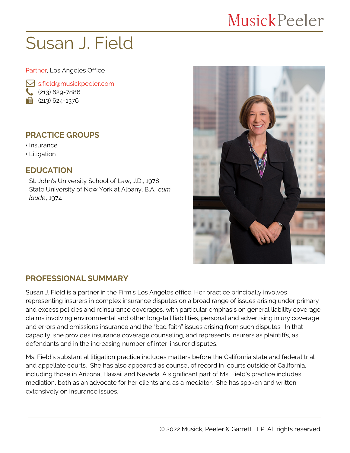## MusickPeeler

# Susan J. Field

Partner, Los Angeles Office

 [s.field@musickpeeler.com](mailto:s.field@musickpeeler.com) (213) 629-7886  $\mathbf{a}$  (213) 624-1376

#### **PRACTICE GROUPS**

Insurance

Litigation

#### **EDUCATION**

St. John's University School of Law, J.D., 1978 State University of New York at Albany, B.A., *cum laude*, 1974



#### **PROFESSIONAL SUMMARY**

Susan J. Field is a partner in the Firm's Los Angeles office. Her practice principally involves representing insurers in complex insurance disputes on a broad range of issues arising under primary and excess policies and reinsurance coverages, with particular emphasis on general liability coverage claims involving environmental and other long-tail liabilities, personal and advertising injury coverage and errors and omissions insurance and the "bad faith" issues arising from such disputes. In that capacity, she provides insurance coverage counseling, and represents insurers as plaintiffs, as defendants and in the increasing number of inter-insurer disputes.

Ms. Field's substantial litigation practice includes matters before the California state and federal trial and appellate courts. She has also appeared as counsel of record in courts outside of California, including those in Arizona, Hawaii and Nevada. A significant part of Ms. Field's practice includes mediation, both as an advocate for her clients and as a mediator. She has spoken and written extensively on insurance issues.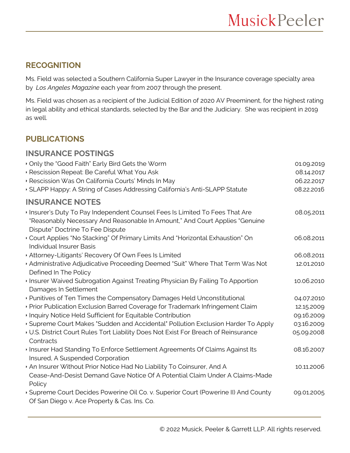#### **RECOGNITION**

Ms. Field was selected a Southern California Super Lawyer in the Insurance coverage specialty area by *Los Angeles Magazine* each year from 2007 through the present.

Ms. Field was chosen as a recipient of the Judicial Edition of 2020 AV Preeminent, for the highest rating in legal ability and ethical standards, selected by the Bar and the Judiciary. She was recipient in 2019 as well.

### **PUBLICATIONS**

#### **INSURANCE POSTINGS**

| Only the "Good Faith" Early Bird Gets the Worm<br>Rescission Repeat: Be Careful What You Ask<br>· Rescission Was On California Courts' Minds In May<br>SLAPP Happy: A String of Cases Addressing California's Anti-SLAPP Statute | 01.09.2019<br>08.14.2017<br>06.22.2017<br>08.22.2016 |
|----------------------------------------------------------------------------------------------------------------------------------------------------------------------------------------------------------------------------------|------------------------------------------------------|
| <b>INSURANCE NOTES</b>                                                                                                                                                                                                           |                                                      |
| Insurer's Duty To Pay Independent Counsel Fees Is Limited To Fees That Are<br>"Reasonably Necessary And Reasonable In Amount," And Court Applies "Genuine<br>Dispute" Doctrine To Fee Dispute                                    | 08.05.2011                                           |
| Court Applies "No Stacking" Of Primary Limits And "Horizontal Exhaustion" On<br><b>Individual Insurer Basis</b>                                                                                                                  | 06.08.2011                                           |
| Attorney-Litigants' Recovery Of Own Fees Is Limited                                                                                                                                                                              | 06.08.2011                                           |
| Administrative Adjudicative Proceeding Deemed "Suit" Where That Term Was Not<br>Defined In The Policy                                                                                                                            | 12.01.2010                                           |
| Insurer Waived Subrogation Against Treating Physician By Failing To Apportion<br>Damages In Settlement                                                                                                                           | 10.06.2010                                           |
| • Punitives of Ten Times the Compensatory Damages Held Unconstitutional                                                                                                                                                          | 04.07.2010                                           |
| ▶ Prior Publication Exclusion Barred Coverage for Trademark Infringement Claim                                                                                                                                                   | 12.15.2009                                           |
| Inquiry Notice Held Sufficient for Equitable Contribution                                                                                                                                                                        | 09.16.2009                                           |
| Supreme Court Makes "Sudden and Accidental" Pollution Exclusion Harder To Apply                                                                                                                                                  | 03.16.2009                                           |
| ↓ U.S. District Court Rules Tort Liability Does Not Exist For Breach of Reinsurance<br>Contracts                                                                                                                                 | 05.09.2008                                           |
| Insurer Had Standing To Enforce Settlement Agreements Of Claims Against Its<br>Insured, A Suspended Corporation                                                                                                                  | 08.16.2007                                           |
| An Insurer Without Prior Notice Had No Liability To Coinsurer, And A<br>Cease-And-Desist Demand Gave Notice Of A Potential Claim Under A Claims-Made<br>Policy                                                                   | 10.11.2006                                           |
| Supreme Court Decides Powerine Oil Co. v. Superior Court (Powerine II) And County<br>Of San Diego v. Ace Property & Cas. Ins. Co.                                                                                                | 09.01.2005                                           |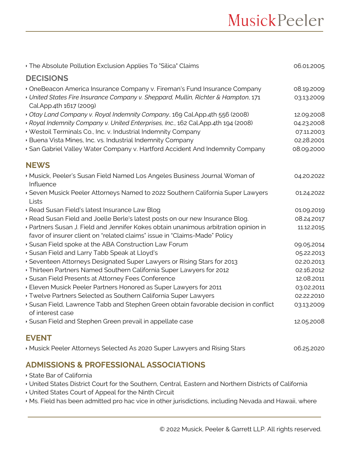| The Absolute Pollution Exclusion Applies To "Silica" Claims                                                                                                       | 06.01.2005 |
|-------------------------------------------------------------------------------------------------------------------------------------------------------------------|------------|
| <b>DECISIONS</b>                                                                                                                                                  |            |
| OneBeacon America Insurance Company v. Fireman's Fund Insurance Company                                                                                           | 08.19.2009 |
| • United States Fire Insurance Company v. Sheppard, Mullin, Richter & Hampton, 171<br>Cal.App.4th 1617 (2009)                                                     | 03.13.2009 |
| Otay Land Company v. Royal Indemnity Company, 169 Cal.App.4th 556 (2008)                                                                                          | 12.09.2008 |
| Royal Indemnity Company v. United Enterprises, Inc., 162 Cal.App.4th 194 (2008)                                                                                   | 04.23.2008 |
| Vestoil Terminals Co., Inc. v. Industrial Indemnity Company                                                                                                       | 07.11.2003 |
| · Buena Vista Mines, Inc. vs. Industrial Indemnity Company                                                                                                        | 02.28.2001 |
| San Gabriel Valley Water Company v. Hartford Accident And Indemnity Company                                                                                       | 08.09.2000 |
| <b>NEWS</b>                                                                                                                                                       |            |
| Musick, Peeler's Susan Field Named Los Angeles Business Journal Woman of<br>Influence                                                                             | 04.20.2022 |
| Seven Musick Peeler Attorneys Named to 2022 Southern California Super Lawyers<br>Lists                                                                            | 01.24.2022 |
| · Read Susan Field's latest Insurance Law Blog                                                                                                                    | 01.09.2019 |
| · Read Susan Field and Joelle Berle's latest posts on our new Insurance Blog.                                                                                     | 08.24.2017 |
| ▶ Partners Susan J. Field and Jennifer Kokes obtain unanimous arbitration opinion in<br>favor of insurer client on "related claims" issue in "Claims-Made" Policy | 11.12.2015 |
| Susan Field spoke at the ABA Construction Law Forum                                                                                                               | 09.05.2014 |
| Susan Field and Larry Tabb Speak at Lloyd's                                                                                                                       | 05.22.2013 |
| Seventeen Attorneys Designated Super Lawyers or Rising Stars for 2013                                                                                             | 02.20.2013 |
| Thirteen Partners Named Southern California Super Lawyers for 2012                                                                                                | 02.16.2012 |
| Susan Field Presents at Attorney Fees Conference                                                                                                                  | 12.08.2011 |
| Eleven Musick Peeler Partners Honored as Super Lawyers for 2011                                                                                                   | 03.02.2011 |
| ▸ Twelve Partners Selected as Southern California Super Lawyers                                                                                                   | 02.22.2010 |
| Susan Field, Lawrence Tabb and Stephen Green obtain favorable decision in conflict<br>of interest case                                                            | 03.13.2009 |
| Susan Field and Stephen Green prevail in appellate case                                                                                                           | 12.05.2008 |
| <b>EVENT</b>                                                                                                                                                      |            |
| Musick Peeler Attorneys Selected As 2020 Super Lawyers and Rising Stars                                                                                           | 06.25.2020 |

#### **ADMISSIONS & PROFESSIONAL ASSOCIATIONS**

- State Bar of California
- United States District Court for the Southern, Central, Eastern and Northern Districts of California
- United States Court of Appeal for the Ninth Circuit
- Ms. Field has been admitted pro hac vice in other jurisdictions, including Nevada and Hawaii, where